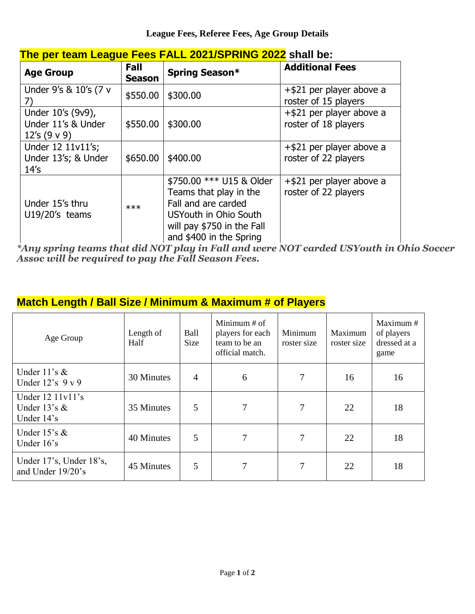| <u>THE DELICATILE CAYUS LEGS LAEL ZUZ IJULINING ZUZZ SHAH DE.</u> |                       |                                                                                                                                                             |                                                     |  |  |  |  |
|-------------------------------------------------------------------|-----------------------|-------------------------------------------------------------------------------------------------------------------------------------------------------------|-----------------------------------------------------|--|--|--|--|
| <b>Age Group</b>                                                  | Fall<br><b>Season</b> | Spring Season*                                                                                                                                              | <b>Additional Fees</b>                              |  |  |  |  |
| Under 9's & 10's (7 v<br>7)                                       | \$550.00              | \$300.00                                                                                                                                                    | $+$ \$21 per player above a<br>roster of 15 players |  |  |  |  |
| Under 10's (9v9),<br>Under 11's & Under<br>12's $(9 \vee 9)$      | \$550.00              | \$300.00                                                                                                                                                    | +\$21 per player above a<br>roster of 18 players    |  |  |  |  |
| Under 12 11v11's;<br>Under 13's; & Under<br>14's                  | \$650.00              | \$400.00                                                                                                                                                    | $+$ \$21 per player above a<br>roster of 22 players |  |  |  |  |
| Under 15's thru<br>$U19/20's$ teams                               | ***                   | \$750.00 *** U15 & Older<br>Teams that play in the<br>Fall and are carded<br>USYouth in Ohio South<br>will pay \$750 in the Fall<br>and \$400 in the Spring | $+$ \$21 per player above a<br>roster of 22 players |  |  |  |  |

## **The per team League Fees FALL 2021/SPRING 2022 shall be:**

*\*Any spring teams that did NOT play in Fall and were NOT carded USYouth in Ohio Soccer Assoc will be required to pay the Fall Season Fees.*

# **Match Length / Ball Size / Minimum & Maximum # of Players**

| Age Group                                            | Length of<br>Half | Ball<br><b>Size</b> | Minimum $#$ of<br>players for each<br>team to be an<br>official match. | Minimum<br>roster size | Maximum<br>roster size | Maximum #<br>of players<br>dressed at a<br>game |
|------------------------------------------------------|-------------------|---------------------|------------------------------------------------------------------------|------------------------|------------------------|-------------------------------------------------|
| Under $11$ 's &<br>Under $12$ 's $9 \text{ v } 9$    | 30 Minutes        | 4                   | 6                                                                      | 7                      | 16                     | 16                                              |
| Under $12 11v11$ 's<br>Under $13's \&$<br>Under 14's | 35 Minutes        | 5                   | 7                                                                      | 7                      | 22                     | 18                                              |
| Under $15's \&$<br>Under $16$ 's                     | 40 Minutes        | 5                   | 7                                                                      | 7                      | 22                     | 18                                              |
| Under 17's, Under 18's,<br>and Under 19/20's         | 45 Minutes        | 5                   | 7                                                                      | 7                      | 22                     | 18                                              |